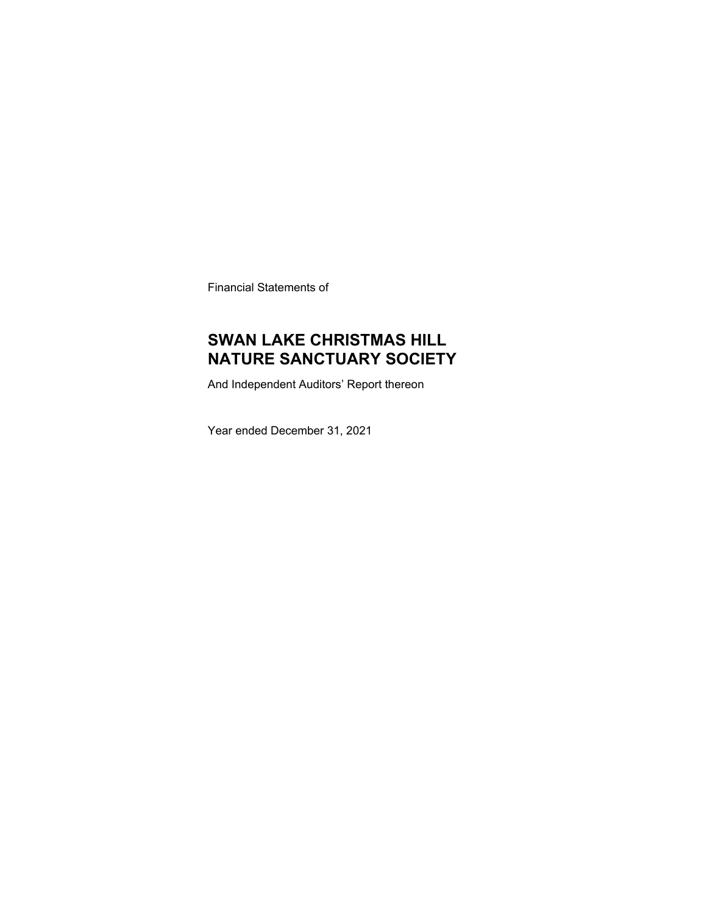Financial Statements of

### **SWAN LAKE CHRISTMAS HILL NATURE SANCTUARY SOCIETY**

And Independent Auditors' Report thereon

Year ended December 31, 2021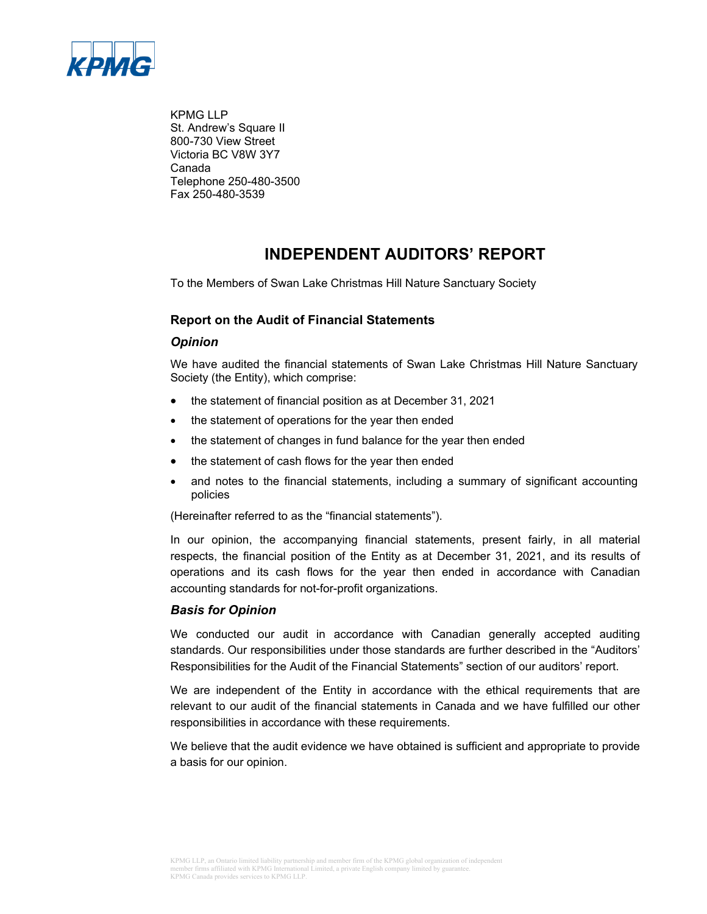

KPMG LLP St. Andrew's Square II 800-730 View Street Victoria BC V8W 3Y7 Canada Telephone 250-480-3500 Fax 250-480-3539

### **INDEPENDENT AUDITORS' REPORT**

To the Members of Swan Lake Christmas Hill Nature Sanctuary Society

### **Report on the Audit of Financial Statements**

#### *Opinion*

We have audited the financial statements of Swan Lake Christmas Hill Nature Sanctuary Society (the Entity), which comprise:

- the statement of financial position as at December 31, 2021
- the statement of operations for the year then ended
- the statement of changes in fund balance for the year then ended
- the statement of cash flows for the year then ended
- and notes to the financial statements, including a summary of significant accounting policies

(Hereinafter referred to as the "financial statements").

In our opinion, the accompanying financial statements, present fairly, in all material respects, the financial position of the Entity as at December 31, 2021, and its results of operations and its cash flows for the year then ended in accordance with Canadian accounting standards for not-for-profit organizations.

#### *Basis for Opinion*

We conducted our audit in accordance with Canadian generally accepted auditing standards. Our responsibilities under those standards are further described in the "Auditors' Responsibilities for the Audit of the Financial Statements" section of our auditors' report.

We are independent of the Entity in accordance with the ethical requirements that are relevant to our audit of the financial statements in Canada and we have fulfilled our other responsibilities in accordance with these requirements.

We believe that the audit evidence we have obtained is sufficient and appropriate to provide a basis for our opinion.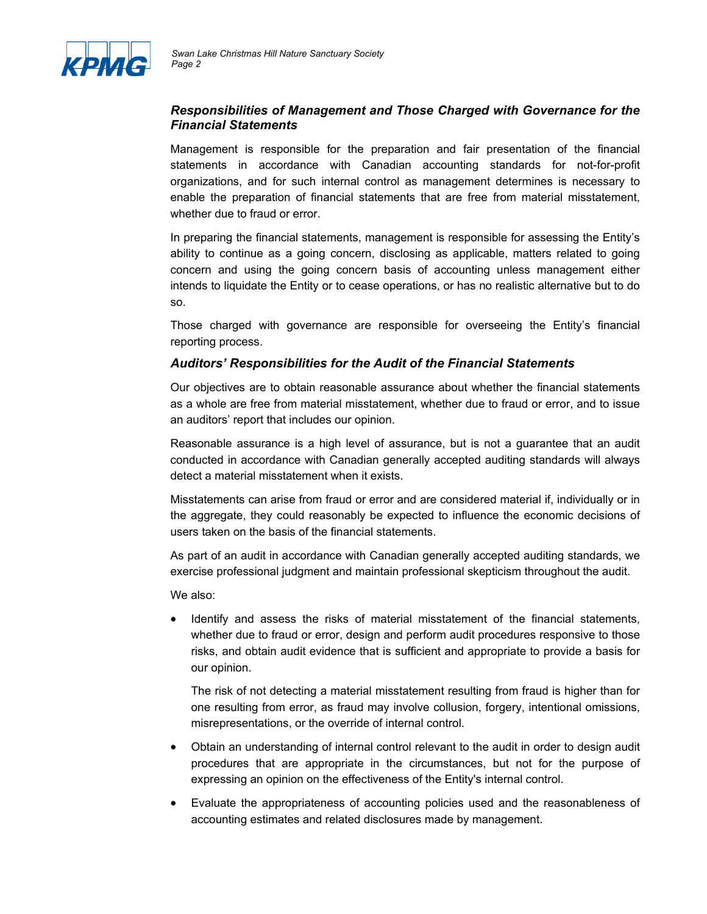

### *Responsibilities of Management and Those Charged with Governance for the Financial Statements*

Management is responsible for the preparation and fair presentation of the financial statements in accordance with Canadian accounting standards for not-for-profit organizations, and for such internal control as management determines is necessary to enable the preparation of financial statements that are free from material misstatement, whether due to fraud or error.

In preparing the financial statements, management is responsible for assessing the Entity's ability to continue as a going concern, disclosing as applicable, matters related to going concern and using the going concern basis of accounting unless management either intends to liquidate the Entity or to cease operations, or has no realistic alternative but to do so.

Those charged with governance are responsible for overseeing the Entity's financial reporting process.

#### *Auditors' Responsibilities for the Audit of the Financial Statements*

Our objectives are to obtain reasonable assurance about whether the financial statements as a whole are free from material misstatement, whether due to fraud or error, and to issue an auditors' report that includes our opinion.

Reasonable assurance is a high level of assurance, but is not a guarantee that an audit conducted in accordance with Canadian generally accepted auditing standards will always detect a material misstatement when it exists.

Misstatements can arise from fraud or error and are considered material if, individually or in the aggregate, they could reasonably be expected to influence the economic decisions of users taken on the basis of the financial statements.

As part of an audit in accordance with Canadian generally accepted auditing standards, we exercise professional judgment and maintain professional skepticism throughout the audit.

We also:

• Identify and assess the risks of material misstatement of the financial statements, whether due to fraud or error, design and perform audit procedures responsive to those risks, and obtain audit evidence that is sufficient and appropriate to provide a basis for our opinion.

The risk of not detecting a material misstatement resulting from fraud is higher than for one resulting from error, as fraud may involve collusion, forgery, intentional omissions, misrepresentations, or the override of internal control.

- Obtain an understanding of internal control relevant to the audit in order to design audit procedures that are appropriate in the circumstances, but not for the purpose of expressing an opinion on the effectiveness of the Entity's internal control.
- Evaluate the appropriateness of accounting policies used and the reasonableness of accounting estimates and related disclosures made by management.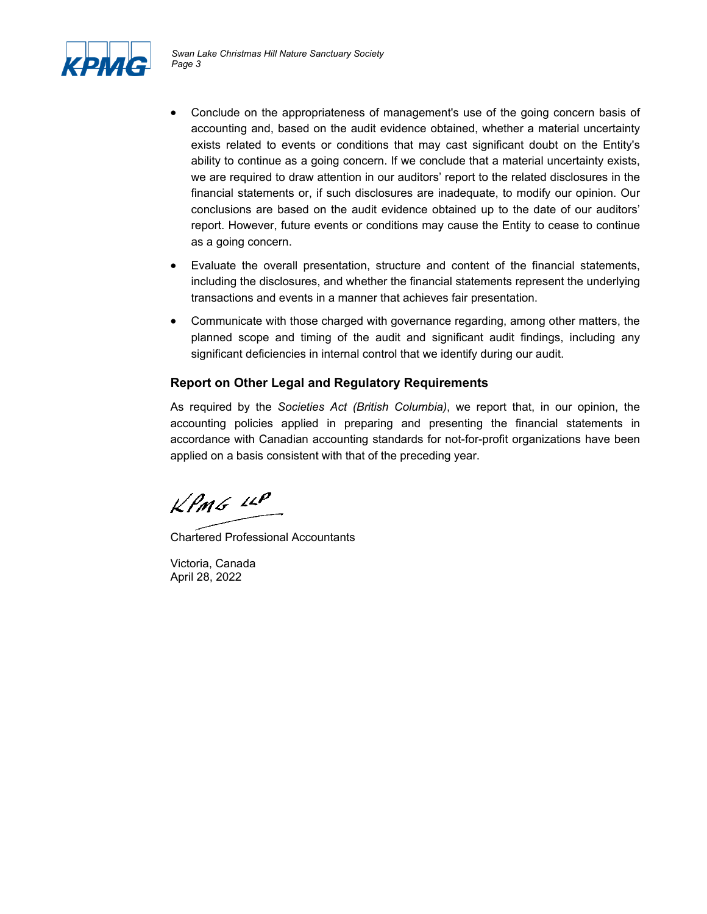

- Conclude on the appropriateness of management's use of the going concern basis of accounting and, based on the audit evidence obtained, whether a material uncertainty exists related to events or conditions that may cast significant doubt on the Entity's ability to continue as a going concern. If we conclude that a material uncertainty exists, we are required to draw attention in our auditors' report to the related disclosures in the financial statements or, if such disclosures are inadequate, to modify our opinion. Our conclusions are based on the audit evidence obtained up to the date of our auditors' report. However, future events or conditions may cause the Entity to cease to continue as a going concern.
- Evaluate the overall presentation, structure and content of the financial statements, including the disclosures, and whether the financial statements represent the underlying transactions and events in a manner that achieves fair presentation.
- Communicate with those charged with governance regarding, among other matters, the planned scope and timing of the audit and significant audit findings, including any significant deficiencies in internal control that we identify during our audit.

### **Report on Other Legal and Regulatory Requirements**

As required by the *Societies Act (British Columbia)*, we report that, in our opinion, the accounting policies applied in preparing and presenting the financial statements in accordance with Canadian accounting standards for not-for-profit organizations have been applied on a basis consistent with that of the preceding year.

 $k$ *PmG*  $44$ 

Chartered Professional Accountants

Victoria, Canada April 28, 2022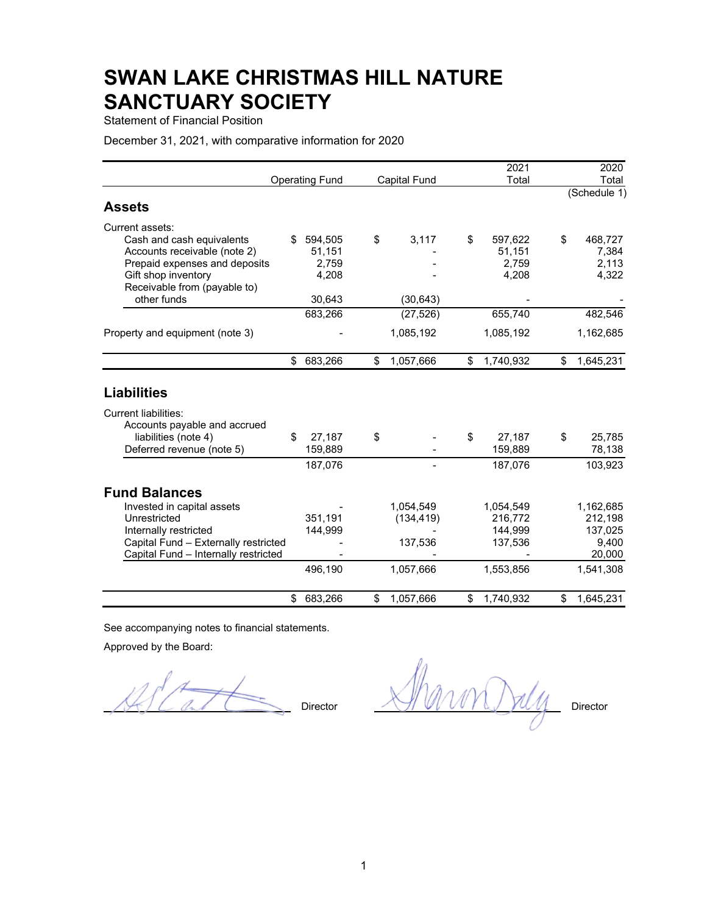Statement of Financial Position

December 31, 2021, with comparative information for 2020

|                                                                                                                                                     |                                       |                                    | 2021                                       | 2020                                               |
|-----------------------------------------------------------------------------------------------------------------------------------------------------|---------------------------------------|------------------------------------|--------------------------------------------|----------------------------------------------------|
|                                                                                                                                                     | <b>Operating Fund</b>                 | <b>Capital Fund</b>                | Total                                      | Total                                              |
| <b>Assets</b>                                                                                                                                       |                                       |                                    |                                            | (Schedule 1)                                       |
| Current assets:                                                                                                                                     |                                       |                                    |                                            |                                                    |
| Cash and cash equivalents<br>Accounts receivable (note 2)<br>Prepaid expenses and deposits<br>Gift shop inventory<br>Receivable from (payable to)   | \$594,505<br>51,151<br>2,759<br>4,208 | \$<br>3,117                        | \$<br>597,622<br>51,151<br>2,759<br>4,208  | \$<br>468,727<br>7,384<br>2,113<br>4,322           |
| other funds                                                                                                                                         | 30,643                                | (30, 643)                          |                                            |                                                    |
|                                                                                                                                                     | 683,266                               | (27, 526)                          | 655,740                                    | 482,546                                            |
| Property and equipment (note 3)                                                                                                                     |                                       | 1,085,192                          | 1,085,192                                  | 1,162,685                                          |
|                                                                                                                                                     | \$<br>683,266                         | \$<br>1,057,666                    | \$<br>1,740,932                            | \$<br>1,645,231                                    |
| <b>Liabilities</b>                                                                                                                                  |                                       |                                    |                                            |                                                    |
| <b>Current liabilities:</b>                                                                                                                         |                                       |                                    |                                            |                                                    |
| Accounts payable and accrued<br>liabilities (note 4)<br>Deferred revenue (note 5)                                                                   | \$<br>27,187<br>159,889               | \$                                 | \$<br>27,187<br>159,889                    | \$<br>25,785<br>78,138                             |
|                                                                                                                                                     | 187,076                               |                                    | 187,076                                    | 103,923                                            |
| <b>Fund Balances</b>                                                                                                                                |                                       |                                    |                                            |                                                    |
| Invested in capital assets<br>Unrestricted<br>Internally restricted<br>Capital Fund - Externally restricted<br>Capital Fund - Internally restricted | 351,191<br>144,999                    | 1.054.549<br>(134, 419)<br>137,536 | 1,054,549<br>216,772<br>144,999<br>137,536 | 1,162,685<br>212,198<br>137,025<br>9,400<br>20,000 |
|                                                                                                                                                     | 496,190                               | 1,057,666                          | 1,553,856                                  | 1,541,308                                          |
|                                                                                                                                                     | \$<br>683,266                         | \$<br>1,057,666                    | \$<br>1,740,932                            | \$<br>1,645,231                                    |

See accompanying notes to financial statements.

Approved by the Board:

Director Ahampy Director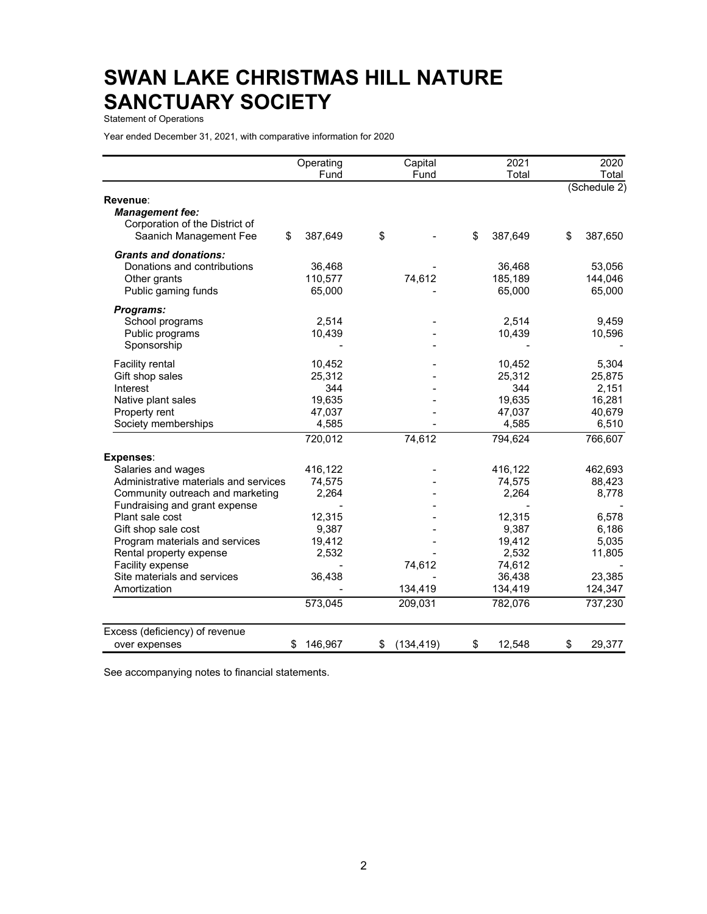Statement of Operations

Year ended December 31, 2021, with comparative information for 2020

|                                                                                          | Operating     | Capital          | 2021          | 2020          |
|------------------------------------------------------------------------------------------|---------------|------------------|---------------|---------------|
|                                                                                          | Fund          | Fund             | Total         | Total         |
| Revenue:                                                                                 |               |                  |               | (Schedule 2)  |
| <b>Management fee:</b><br>Corporation of the District of<br>Saanich Management Fee<br>\$ | 387,649       | \$               | \$<br>387,649 | \$<br>387,650 |
| <b>Grants and donations:</b>                                                             |               |                  |               |               |
| Donations and contributions                                                              | 36,468        |                  | 36,468        | 53,056        |
| Other grants                                                                             | 110,577       | 74,612           | 185,189       | 144,046       |
| Public gaming funds                                                                      | 65,000        |                  | 65,000        | 65,000        |
| Programs:                                                                                |               |                  |               |               |
| School programs                                                                          | 2,514         |                  | 2,514         | 9,459         |
| Public programs                                                                          | 10,439        |                  | 10,439        | 10,596        |
| Sponsorship                                                                              |               |                  |               |               |
| <b>Facility rental</b>                                                                   | 10,452        |                  | 10,452        | 5,304         |
| Gift shop sales                                                                          | 25,312        |                  | 25,312        | 25,875        |
| Interest                                                                                 | 344           |                  | 344           | 2,151         |
| Native plant sales                                                                       | 19,635        |                  | 19,635        | 16,281        |
| Property rent                                                                            | 47,037        |                  | 47,037        | 40,679        |
| Society memberships                                                                      | 4,585         |                  | 4,585         | 6,510         |
|                                                                                          | 720,012       | 74,612           | 794,624       | 766,607       |
| Expenses:                                                                                |               |                  |               |               |
| Salaries and wages                                                                       | 416,122       |                  | 416,122       | 462,693       |
| Administrative materials and services                                                    | 74,575        |                  | 74,575        | 88,423        |
| Community outreach and marketing                                                         | 2.264         |                  | 2,264         | 8,778         |
| Fundraising and grant expense                                                            |               |                  |               |               |
| Plant sale cost                                                                          | 12,315        |                  | 12,315        | 6,578         |
| Gift shop sale cost                                                                      | 9,387         |                  | 9,387         | 6,186         |
| Program materials and services                                                           | 19,412        |                  | 19,412        | 5,035         |
| Rental property expense                                                                  | 2,532         |                  | 2,532         | 11,805        |
| Facility expense                                                                         |               | 74,612           | 74,612        |               |
| Site materials and services                                                              | 36,438        |                  | 36,438        | 23,385        |
| Amortization                                                                             |               | 134,419          | 134,419       | 124,347       |
|                                                                                          | 573,045       | 209,031          | 782,076       | 737,230       |
| Excess (deficiency) of revenue                                                           |               |                  |               |               |
| over expenses                                                                            | 146,967<br>\$ | \$<br>(134, 419) | \$<br>12,548  | \$<br>29,377  |

See accompanying notes to financial statements.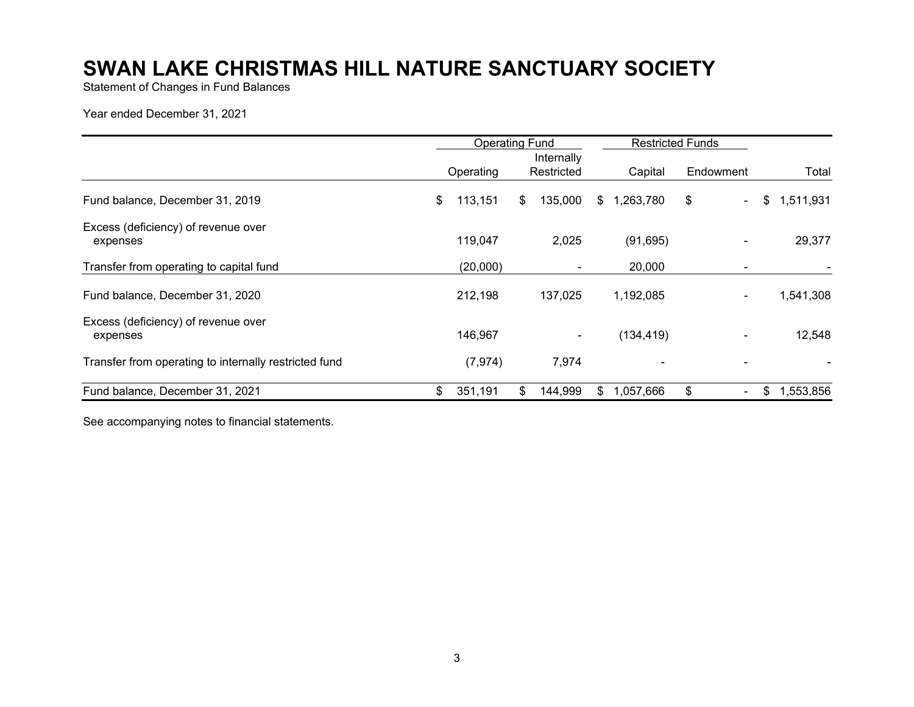Statement of Changes in Fund Balances

Year ended December 31, 2021

|                                                       | <b>Operating Fund</b> |           |    |                | <b>Restricted Funds</b> |           |        |                 |
|-------------------------------------------------------|-----------------------|-----------|----|----------------|-------------------------|-----------|--------|-----------------|
|                                                       |                       |           |    | Internally     |                         |           |        |                 |
|                                                       |                       | Operating |    | Restricted     | Capital                 | Endowment |        | Total           |
| Fund balance, December 31, 2019                       | \$                    | 113,151   | \$ | 135,000        | \$<br>1,263,780         | \$        | $\sim$ | \$<br>1,511,931 |
| Excess (deficiency) of revenue over<br>expenses       |                       | 119,047   |    | 2,025          | (91, 695)               |           |        | 29,377          |
| Transfer from operating to capital fund               |                       | (20,000)  |    | $\blacksquare$ | 20,000                  |           |        |                 |
| Fund balance, December 31, 2020                       |                       | 212,198   |    | 137,025        | 1,192,085               |           |        | 1,541,308       |
| Excess (deficiency) of revenue over<br>expenses       |                       | 146,967   |    | $\blacksquare$ | (134, 419)              |           |        | 12,548          |
| Transfer from operating to internally restricted fund |                       | (7, 974)  |    | 7,974          |                         |           |        |                 |
| Fund balance, December 31, 2021                       | \$                    | 351,191   | \$ | 144,999        | \$<br>1,057,666         | \$        |        | \$<br>1,553,856 |

See accompanying notes to financial statements.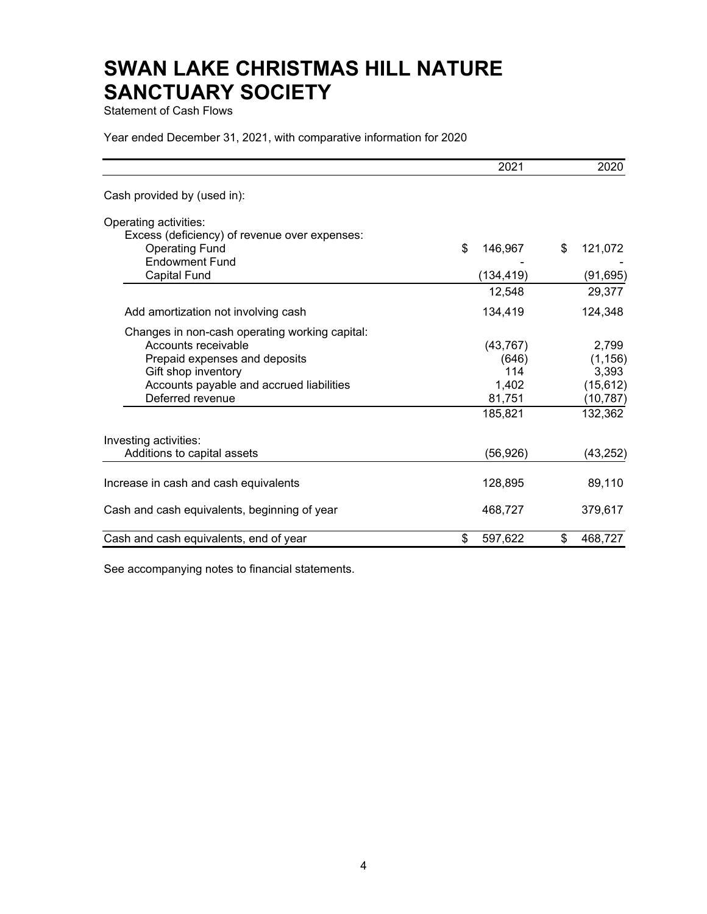Statement of Cash Flows

Year ended December 31, 2021, with comparative information for 2020

|                                                | 2021          | 2020          |
|------------------------------------------------|---------------|---------------|
| Cash provided by (used in):                    |               |               |
| Operating activities:                          |               |               |
| Excess (deficiency) of revenue over expenses:  |               |               |
| <b>Operating Fund</b>                          | \$<br>146,967 | \$<br>121,072 |
| <b>Endowment Fund</b>                          |               |               |
| Capital Fund                                   | (134, 419)    | (91, 695)     |
|                                                | 12,548        | 29,377        |
| Add amortization not involving cash            | 134,419       | 124,348       |
| Changes in non-cash operating working capital: |               |               |
| Accounts receivable                            | (43, 767)     | 2,799         |
| Prepaid expenses and deposits                  | (646)         | (1, 156)      |
| Gift shop inventory                            | 114           | 3,393         |
| Accounts payable and accrued liabilities       | 1,402         | (15, 612)     |
| Deferred revenue                               | 81,751        | (10,787)      |
|                                                | 185,821       | 132,362       |
| Investing activities:                          |               |               |
| Additions to capital assets                    | (56, 926)     | (43, 252)     |
| Increase in cash and cash equivalents          | 128,895       | 89,110        |
| Cash and cash equivalents, beginning of year   | 468,727       | 379,617       |
| Cash and cash equivalents, end of year         | \$<br>597,622 | \$<br>468,727 |

See accompanying notes to financial statements.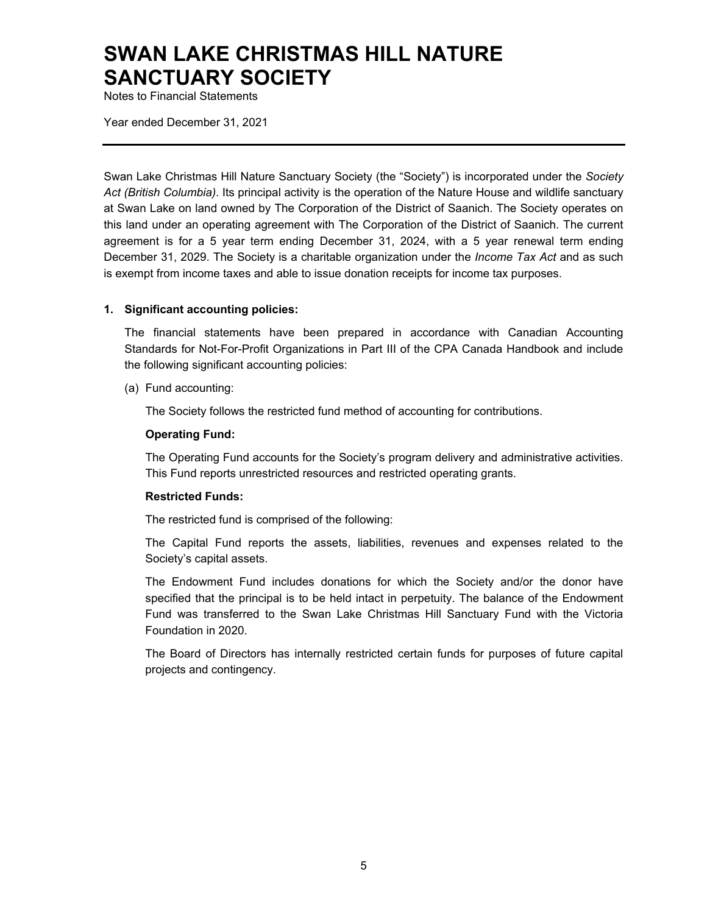Notes to Financial Statements

Year ended December 31, 2021

Swan Lake Christmas Hill Nature Sanctuary Society (the "Society") is incorporated under the *Society Act (British Columbia)*. Its principal activity is the operation of the Nature House and wildlife sanctuary at Swan Lake on land owned by The Corporation of the District of Saanich. The Society operates on this land under an operating agreement with The Corporation of the District of Saanich. The current agreement is for a 5 year term ending December 31, 2024, with a 5 year renewal term ending December 31, 2029. The Society is a charitable organization under the *Income Tax Act* and as such is exempt from income taxes and able to issue donation receipts for income tax purposes.

#### **1. Significant accounting policies:**

The financial statements have been prepared in accordance with Canadian Accounting Standards for Not-For-Profit Organizations in Part III of the CPA Canada Handbook and include the following significant accounting policies:

(a) Fund accounting:

The Society follows the restricted fund method of accounting for contributions.

#### **Operating Fund:**

The Operating Fund accounts for the Society's program delivery and administrative activities. This Fund reports unrestricted resources and restricted operating grants.

#### **Restricted Funds:**

The restricted fund is comprised of the following:

The Capital Fund reports the assets, liabilities, revenues and expenses related to the Society's capital assets.

The Endowment Fund includes donations for which the Society and/or the donor have specified that the principal is to be held intact in perpetuity. The balance of the Endowment Fund was transferred to the Swan Lake Christmas Hill Sanctuary Fund with the Victoria Foundation in 2020.

The Board of Directors has internally restricted certain funds for purposes of future capital projects and contingency.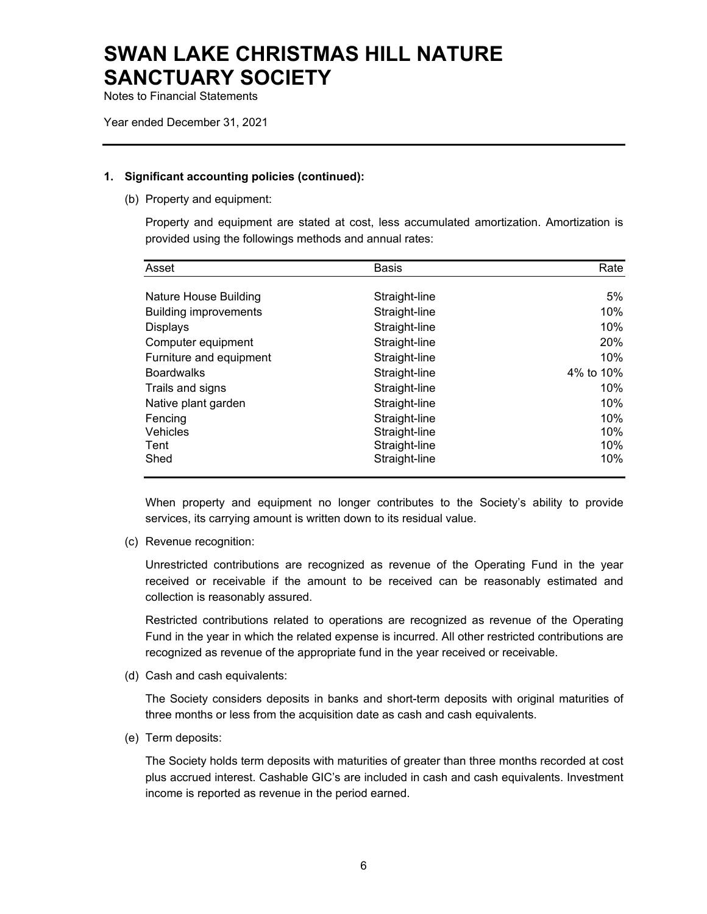Notes to Financial Statements

Year ended December 31, 2021

#### **1. Significant accounting policies (continued):**

(b) Property and equipment:

Property and equipment are stated at cost, less accumulated amortization. Amortization is provided using the followings methods and annual rates:

| Asset                        | Basis         | Rate      |
|------------------------------|---------------|-----------|
|                              |               |           |
| Nature House Building        | Straight-line | 5%        |
| <b>Building improvements</b> | Straight-line | 10%       |
| <b>Displays</b>              | Straight-line | 10%       |
| Computer equipment           | Straight-line | 20%       |
| Furniture and equipment      | Straight-line | 10%       |
| <b>Boardwalks</b>            | Straight-line | 4% to 10% |
| Trails and signs             | Straight-line | 10%       |
| Native plant garden          | Straight-line | 10%       |
| Fencing                      | Straight-line | 10%       |
| Vehicles                     | Straight-line | 10%       |
| Tent                         | Straight-line | 10%       |
| Shed                         | Straight-line | 10%       |

When property and equipment no longer contributes to the Society's ability to provide services, its carrying amount is written down to its residual value.

(c) Revenue recognition:

Unrestricted contributions are recognized as revenue of the Operating Fund in the year received or receivable if the amount to be received can be reasonably estimated and collection is reasonably assured.

Restricted contributions related to operations are recognized as revenue of the Operating Fund in the year in which the related expense is incurred. All other restricted contributions are recognized as revenue of the appropriate fund in the year received or receivable.

(d) Cash and cash equivalents:

The Society considers deposits in banks and short-term deposits with original maturities of three months or less from the acquisition date as cash and cash equivalents.

(e) Term deposits:

The Society holds term deposits with maturities of greater than three months recorded at cost plus accrued interest. Cashable GIC's are included in cash and cash equivalents. Investment income is reported as revenue in the period earned.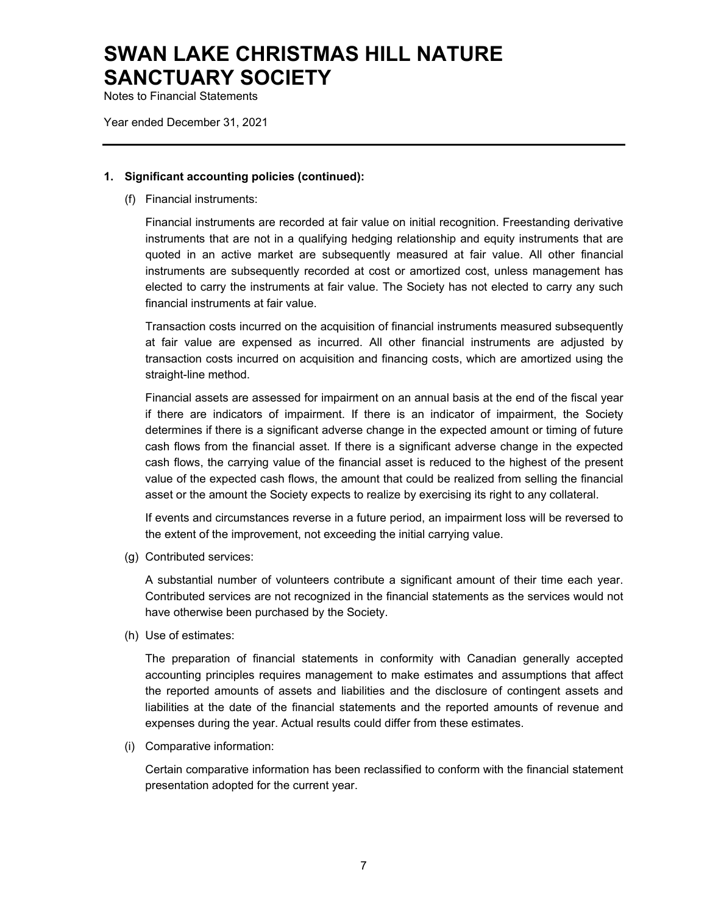Notes to Financial Statements

Year ended December 31, 2021

#### **1. Significant accounting policies (continued):**

(f) Financial instruments:

Financial instruments are recorded at fair value on initial recognition. Freestanding derivative instruments that are not in a qualifying hedging relationship and equity instruments that are quoted in an active market are subsequently measured at fair value. All other financial instruments are subsequently recorded at cost or amortized cost, unless management has elected to carry the instruments at fair value. The Society has not elected to carry any such financial instruments at fair value.

Transaction costs incurred on the acquisition of financial instruments measured subsequently at fair value are expensed as incurred. All other financial instruments are adjusted by transaction costs incurred on acquisition and financing costs, which are amortized using the straight-line method.

Financial assets are assessed for impairment on an annual basis at the end of the fiscal year if there are indicators of impairment. If there is an indicator of impairment, the Society determines if there is a significant adverse change in the expected amount or timing of future cash flows from the financial asset. If there is a significant adverse change in the expected cash flows, the carrying value of the financial asset is reduced to the highest of the present value of the expected cash flows, the amount that could be realized from selling the financial asset or the amount the Society expects to realize by exercising its right to any collateral.

If events and circumstances reverse in a future period, an impairment loss will be reversed to the extent of the improvement, not exceeding the initial carrying value.

(g) Contributed services:

A substantial number of volunteers contribute a significant amount of their time each year. Contributed services are not recognized in the financial statements as the services would not have otherwise been purchased by the Society.

(h) Use of estimates:

The preparation of financial statements in conformity with Canadian generally accepted accounting principles requires management to make estimates and assumptions that affect the reported amounts of assets and liabilities and the disclosure of contingent assets and liabilities at the date of the financial statements and the reported amounts of revenue and expenses during the year. Actual results could differ from these estimates.

(i) Comparative information:

Certain comparative information has been reclassified to conform with the financial statement presentation adopted for the current year.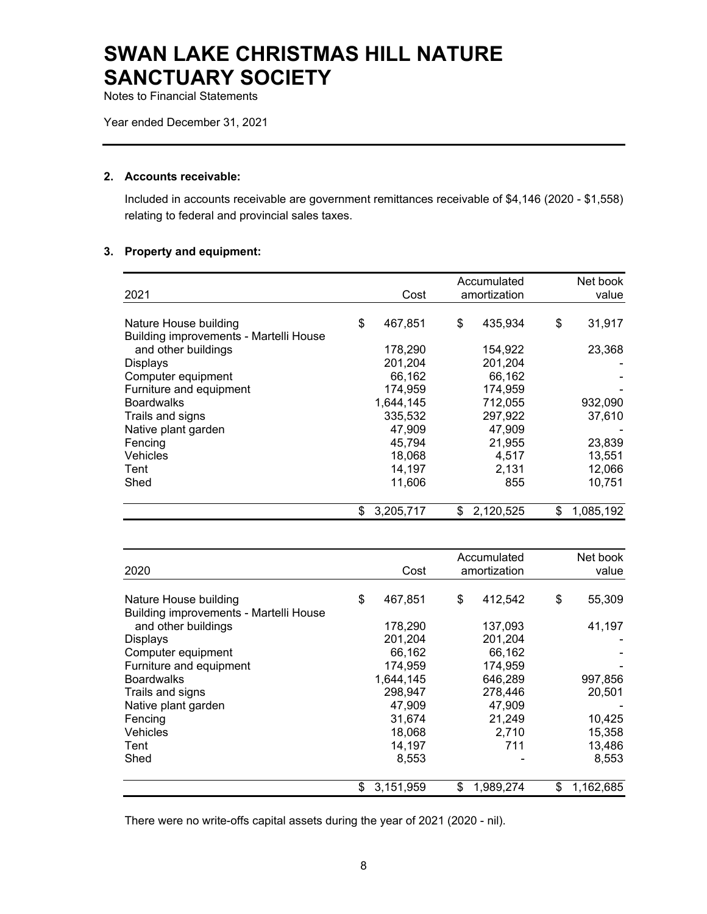Notes to Financial Statements

Year ended December 31, 2021

#### **2. Accounts receivable:**

Included in accounts receivable are government remittances receivable of \$4,146 (2020 - \$1,558) relating to federal and provincial sales taxes.

### **3. Property and equipment:**

| 2021                                   |    | Cost      | Accumulated<br>amortization |    | Net book<br>value |
|----------------------------------------|----|-----------|-----------------------------|----|-------------------|
|                                        |    |           |                             |    |                   |
| Nature House building                  | \$ | 467,851   | \$<br>435,934               | \$ | 31,917            |
| Building improvements - Martelli House |    |           |                             |    |                   |
| and other buildings                    |    | 178,290   | 154,922                     |    | 23,368            |
| <b>Displays</b>                        |    | 201,204   | 201,204                     |    |                   |
| Computer equipment                     |    | 66,162    | 66,162                      |    |                   |
| Furniture and equipment                |    | 174,959   | 174,959                     |    |                   |
| <b>Boardwalks</b>                      |    | 1,644,145 | 712,055                     |    | 932,090           |
| Trails and signs                       |    | 335,532   | 297,922                     |    | 37,610            |
| Native plant garden                    |    | 47,909    | 47,909                      |    |                   |
| Fencing                                |    | 45,794    | 21,955                      |    | 23,839            |
| Vehicles                               |    | 18,068    | 4,517                       |    | 13,551            |
| Tent                                   |    | 14,197    | 2,131                       |    | 12,066            |
| Shed                                   |    | 11,606    | 855                         |    | 10,751            |
|                                        | \$ | 3,205,717 | \$<br>2,120,525             | S  | 1,085,192         |

| 2020                                   |    | Cost      | Accumulated<br>amortization | Net book<br>value |
|----------------------------------------|----|-----------|-----------------------------|-------------------|
|                                        |    |           |                             |                   |
| Nature House building                  | \$ | 467,851   | \$<br>412,542               | \$<br>55,309      |
| Building improvements - Martelli House |    |           |                             |                   |
| and other buildings                    |    | 178,290   | 137,093                     | 41,197            |
| <b>Displays</b>                        |    | 201,204   | 201,204                     |                   |
| Computer equipment                     |    | 66,162    | 66,162                      |                   |
| Furniture and equipment                |    | 174,959   | 174,959                     |                   |
| <b>Boardwalks</b>                      |    | 1,644,145 | 646,289                     | 997,856           |
| Trails and signs                       |    | 298,947   | 278,446                     | 20,501            |
| Native plant garden                    |    | 47,909    | 47,909                      |                   |
| Fencing                                |    | 31,674    | 21,249                      | 10,425            |
| Vehicles                               |    | 18,068    | 2,710                       | 15,358            |
| Tent                                   |    | 14,197    | 711                         | 13,486            |
| Shed                                   |    | 8,553     |                             | 8,553             |
|                                        | \$ | 3,151,959 | \$<br>1,989,274             | \$<br>1,162,685   |

There were no write-offs capital assets during the year of 2021 (2020 - nil).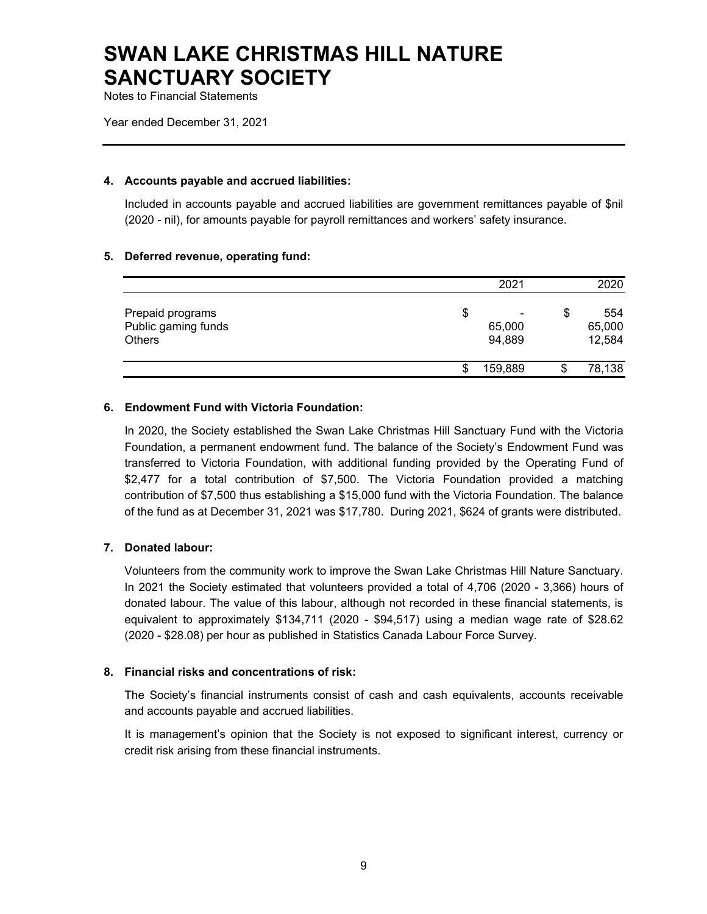Notes to Financial Statements

Year ended December 31, 2021

#### **4. Accounts payable and accrued liabilities:**

Included in accounts payable and accrued liabilities are government remittances payable of \$nil (2020 - nil), for amounts payable for payroll remittances and workers' safety insurance.

#### **5. Deferred revenue, operating fund:**

|                                                          |   | 2021                  |    | 2020                    |
|----------------------------------------------------------|---|-----------------------|----|-------------------------|
| Prepaid programs<br>Public gaming funds<br><b>Others</b> | S | -<br>65,000<br>94,889 | \$ | 554<br>65,000<br>12,584 |
|                                                          |   | 159,889               | Φ  | 78,138                  |

#### **6. Endowment Fund with Victoria Foundation:**

In 2020, the Society established the Swan Lake Christmas Hill Sanctuary Fund with the Victoria Foundation, a permanent endowment fund. The balance of the Society's Endowment Fund was transferred to Victoria Foundation, with additional funding provided by the Operating Fund of \$2,477 for a total contribution of \$7,500. The Victoria Foundation provided a matching contribution of \$7,500 thus establishing a \$15,000 fund with the Victoria Foundation. The balance of the fund as at December 31, 2021 was \$17,780. During 2021, \$624 of grants were distributed.

#### **7. Donated labour:**

Volunteers from the community work to improve the Swan Lake Christmas Hill Nature Sanctuary. In 2021 the Society estimated that volunteers provided a total of 4,706 (2020 - 3,366) hours of donated labour. The value of this labour, although not recorded in these financial statements, is equivalent to approximately \$134,711 (2020 - \$94,517) using a median wage rate of \$28.62 (2020 - \$28.08) per hour as published in Statistics Canada Labour Force Survey.

#### **8. Financial risks and concentrations of risk:**

The Society's financial instruments consist of cash and cash equivalents, accounts receivable and accounts payable and accrued liabilities.

It is management's opinion that the Society is not exposed to significant interest, currency or credit risk arising from these financial instruments.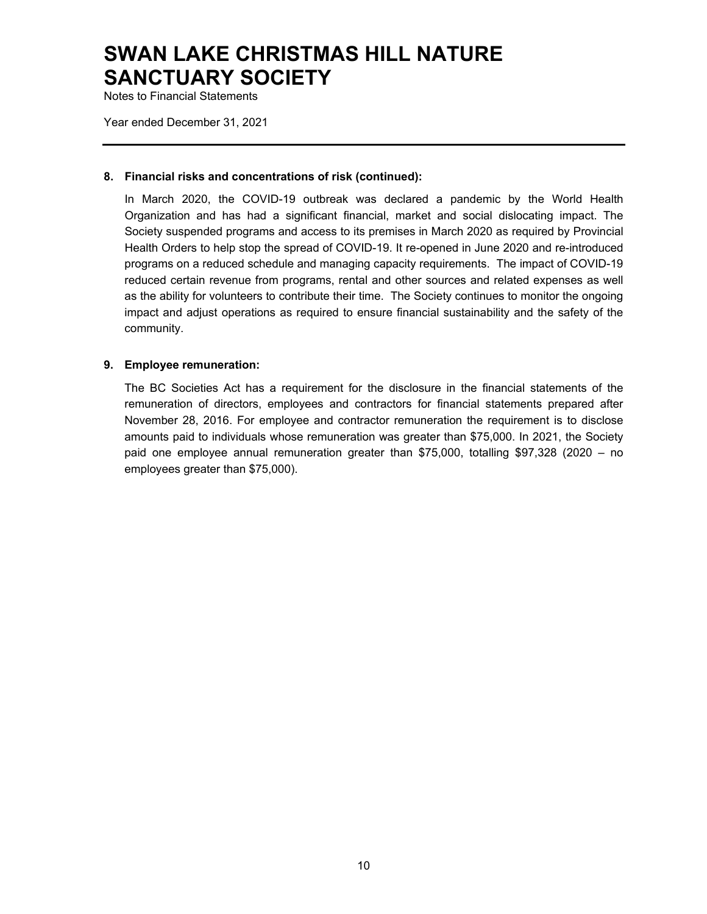Notes to Financial Statements

Year ended December 31, 2021

#### **8. Financial risks and concentrations of risk (continued):**

In March 2020, the COVID-19 outbreak was declared a pandemic by the World Health Organization and has had a significant financial, market and social dislocating impact. The Society suspended programs and access to its premises in March 2020 as required by Provincial Health Orders to help stop the spread of COVID-19. It re-opened in June 2020 and re-introduced programs on a reduced schedule and managing capacity requirements. The impact of COVID-19 reduced certain revenue from programs, rental and other sources and related expenses as well as the ability for volunteers to contribute their time. The Society continues to monitor the ongoing impact and adjust operations as required to ensure financial sustainability and the safety of the community.

#### **9. Employee remuneration:**

The BC Societies Act has a requirement for the disclosure in the financial statements of the remuneration of directors, employees and contractors for financial statements prepared after November 28, 2016. For employee and contractor remuneration the requirement is to disclose amounts paid to individuals whose remuneration was greater than \$75,000. In 2021, the Society paid one employee annual remuneration greater than \$75,000, totalling \$97,328 (2020 – no employees greater than \$75,000).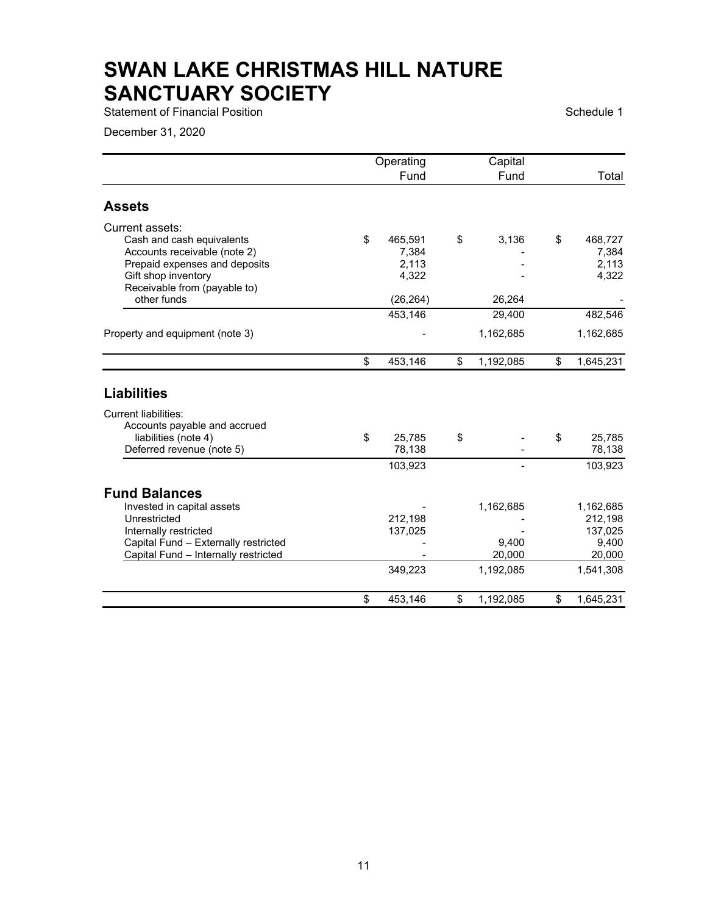Statement of Financial Position Statement of Financial Position Schedule 1

December 31, 2020

|                                                                                                                                                                                     | Operating                                             |    | Capital                                   |                                                                 |
|-------------------------------------------------------------------------------------------------------------------------------------------------------------------------------------|-------------------------------------------------------|----|-------------------------------------------|-----------------------------------------------------------------|
|                                                                                                                                                                                     | Fund                                                  |    | Fund                                      | Total                                                           |
| <b>Assets</b>                                                                                                                                                                       |                                                       |    |                                           |                                                                 |
| Current assets:<br>Cash and cash equivalents<br>Accounts receivable (note 2)<br>Prepaid expenses and deposits<br>Gift shop inventory<br>Receivable from (payable to)<br>other funds | \$<br>465,591<br>7,384<br>2,113<br>4,322<br>(26, 264) | \$ | 3,136<br>26,264                           | \$<br>468,727<br>7,384<br>2,113<br>4,322                        |
|                                                                                                                                                                                     | 453,146                                               |    | 29,400                                    | 482,546                                                         |
| Property and equipment (note 3)                                                                                                                                                     |                                                       |    | 1,162,685                                 | 1,162,685                                                       |
|                                                                                                                                                                                     | \$<br>453,146                                         | \$ | 1,192,085                                 | \$<br>1,645,231                                                 |
| <b>Liabilities</b>                                                                                                                                                                  |                                                       |    |                                           |                                                                 |
| <b>Current liabilities:</b><br>Accounts payable and accrued<br>liabilities (note 4)<br>Deferred revenue (note 5)                                                                    | \$<br>25,785<br>78,138                                | \$ |                                           | \$<br>25,785<br>78,138                                          |
|                                                                                                                                                                                     | 103,923                                               |    |                                           | 103,923                                                         |
| <b>Fund Balances</b><br>Invested in capital assets<br>Unrestricted<br>Internally restricted<br>Capital Fund - Externally restricted<br>Capital Fund - Internally restricted         | 212,198<br>137,025<br>349,223                         |    | 1,162,685<br>9.400<br>20,000<br>1,192,085 | 1,162,685<br>212,198<br>137,025<br>9,400<br>20,000<br>1,541,308 |
|                                                                                                                                                                                     | \$<br>453,146                                         | \$ | 1,192,085                                 | \$<br>1,645,231                                                 |